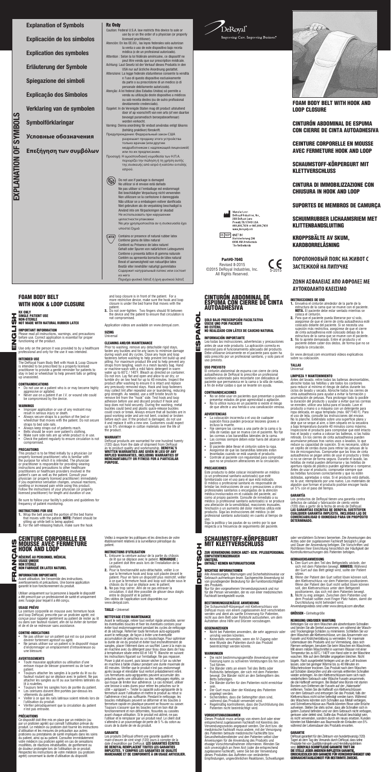Explanation of Symbols Explicación de los símbolos Explication des symboles Erläuterung der Symbole Spiegazione dei simboli Explicação dos Símbolos Verklaring van de symbolen Symbolförklaringar **Условные обозначения Επεξήγηση των συμβόλων**

Caution: Federal U.S.A. law restricts this device to sale or use by or on the order of a physician (or properly licensed practitioner). Atención: En los EE.UU., las leyes federales solo autorizan la venta o uso de este dispositivo bajo receta médica (o de un profesional autorizado). Attention : Selon la loi fédérale américaine, ce dispositif ne peut être vendu que sur prescription médicale. Achtung: Laut Gesetz ist der Verkauf dieses Produkts in den USA nur auf ärzliche Anordnung gestattet. Attenzione: La legge federale statunitense consente la vendita e l'uso di questo dispositivo esclusivamente da parte o su prescrizione di un medico (o di personale debitamente autorizzato). Atenção: A lei federal (dos Estados Unidos) só permite a venda ou utilização deste dispositivo a médicos ou sob receita destes (ou de outro profissional

devidamente credenciado). Opgelet: In de Verenigde Staten mag dit product uitsluitend door of ap voorschrift van een arts (of een daartoe bevoegd paramedisch beroepsbeoefenaar) worden verkocht.

Varning: Denna anordning får endast användas enligt läkares (behörig praktiker) föreskrift.

Предупреждение: Федеральный закон США разрешает продажу этого устройства только врачам (или другим медработникам с надлежащей лицензией) или по их предписанию.

Προσοχή: Η ομοσπονδιακή νομοθεσία των Η.Π.Α. περιορίζει την πώληση ή τη χρήση αυτής της συσκευής από ιατρό ή κατόπιν εντολής ιατρού.

ū Use only on the person it was provided to by a healthcare professional and only for the use it was intended.

Do not use if package is damaged  $(\!\!\!\!\!\!(\otimes\!\!\!\!\!)\,$ No utilizar si el envase está dañado Ne pas utiliser si l'emballage est endommagé Bei beschädigter Verpackung nicht verwenden Non utilizzare se la confezione è danneggiata Não utilizar se a embalagem estiver danificada Niet gebruiken als de verpakking beschadigd is Använd inte om förpackningen är skadad Не использовать при нарушении целостности упаковки Να μην χρησιμοποιείται αν η συσκευασία έχει υποστεί ζημιά

- Improper application or use of any restraint may result in serious injury or death. • Always secure straps to a portion of the bed or wheelchair that moves with the patient. Do not secure
- straps to bed side rails. • Always keep straps out of patients reach.
- 
- Belts should be worn over patient's clothing. Make sure side rails are up while product is in use. Check the patient regularly to ensure circulation is not
- compromised.

Contains or presence of natural rubber latex (LATEX) Contiene goma de látex natural Contient ou Présence de latex naturel Gehalt oder Spuren von natürlichem Latexgummi Contiene o presenta lattice di gomma naturale Contém ou apresenta borracha de látex natural Bevat of aanwezigheid van natuurlijke latex Består eller innehåller naturligt gummilatex Содержит натуральный латекс или состоит из него

Περιέχει φυσικό λάτεξ ή ίχνη φυσικού λάτεξ

- 1. Wrap the belt around the portion of the bed frame that moves with the patient. **NOTE:** Patient should be<br>sitting up while belt is being applied.<br>2. For the self-releasing feature, make sure the hook
- 

EXPLANATION OF SYMBOLS

**EXPLANATION OF SYMBOLS** 

FOAM BODY BELT WITH HOOK AND LOOP CLOSURE

CINTURÓN ABDOMINAL DE ESPUMA CON CIERRE DE CINTA AUTOADHESIVA

CEINTURE CORPORELLE EN MOUSSE AVEC FERMETURE HOOK AND LOOP

SCHAUMSTOFF-KÖRPERGURT MIT KLETTVERSCHLUSS

CINTURA DI IMMOBILIZZAZIONE CON CHIUSURA IN HOOK AND LOOP

#### SIZING **Universal**

SUPORTES DE MEMBROS DE CAMURÇA

SCHUIMRUBBER LICHAAMSRIEM MET KLITTENBANDSLUITING

KROPPSBÄLTE AV SKUM, KARDBORRELÅSNING

**ПОРОЛОНОВЫЙ ПОЯС НА ЖИВОТ С ЗАСТЕЖКОЙ НА ЛИПУЧКЕ**

## **ΖΏΝΗ ΑΣΦΑΛΕΊΑΣ ΑΠΌ ΑΦΡΟΛΕΞ ΜΕ ΑΥΤΟΚΌΛΛΗΤΟ ΚΛΕΊΣΙΜΟ**

## FOAM BODY BELT WITH HOOK & LOOP CLOSURE

RX ONLY<br>SINGLE PATIENT USE I HSITSH U) ⊒ Ű

NON-STERILE NOT MADE WITH NATURAL RUBBER LATEX IMPORTANT INFORMATION

Please read all instructions, warnings, and precautions before use. Correct application is essential for proper functioning of the product.

## INTENDED USE

**CLEANING AND/OR MAINTENANCE**<br>Prior to washing, remove any detachable rigid stays,<br>fasten any buckles and tie any laces to minimize damage during wash and dry cycles. Close any hook and loop fasteners before washing to help prevent lint build-up and pilling. For maximum product life and to help prevent any straps from tangling, wash in a mesh laundry bag. Hand or machine-wash with a mild fabric detergent in warm water up to 60˚C / 140˚F. Bleach as directed on container. Do not iron. Lay flat and open and allow to air dry, or tumble dry on low heat for up to 40 minutes. Inspect the product after washing to ensure it is intact and replace any previously removed stays. Hook and loop fasteners may collect lint after repeated use or laundering, reducing grip strength. As needed, use a stiff bristle brush to remove lint from the "hook" side. Test hook and loop adhesion before use and discard product if hook and loop does not hold securely. During the washing, metal buckles could bend and plastic quick-release buckles could crack or break. Always ensure that all buckles are in good working order and are not bent, cracked or broken before each use. If the product is damaged, do not use it and replace it with a new one. Customers could expect up to 5% shrinkage in cotton materials over the life of the product.

The DeRoyal Foam Body Belt with Hook & Loop Closure is intended to be prescribed by a properly licensed practitioner to provide a gentle reminder for patients to stay in bed or wheelchair to help prevent falls or getting up unassisted.

> DeRoyal products are warranted for one hundred twenty<br>(120) days from the date of shipment from DeRoyal<br>as to product quality and workmanship. **DEROYAL'S** WRITTEN WARRANTIES ARE GIVEN IN LIEU OF ANY IMPLIED WARRANTIES, INCLUDING WARRANTIES OF MERCHANTABILITY OR FITNESS FOR A PARTICULAR PURPOSE.





## CONTRAINDICATIONS

- Do not use on a patient who is or may become highly aggressive or agitated. • Never use on a patient if an I.V. or wound site could
- be compromised by the device.

## WARNINGS

DEUTSCH ESPAÑOL Lea todas las instrucciones, advertencias y precauciones antes de usar este producto. La aplicación correcta es esencial para el funcionamiento adecuado del producto. Debe utilizarse únicamente en el paciente para quien ha sido prescrito por un profesional sanitario, y solo para el uso previsto.

## PRECAUTIONS

This product is to be fitted initially by a physician (or properly licensed practitioner) who is familiar with the purpose for which it is intended. The physician or practitioner is responsible for providing wearing

## **Rx Only**

instructions and precautions to other healthcare practitioners or healthcare providers involved in the patient's care as well as the patient. Consult your physician (or properly licensed practitioner) immediately if you experience sensation changes, unusual reactions, swelling or increased pain while using this product. Follow the instructions of your physician (or properly licensed practitioner) for length and duration of use.

Be sure to follow your facility's policies and guidelines for frequency of patient monitoring.

#### INSTRUCTIONS FOR USE

and loop closure is in front of the patient. For a more restrictive device, make sure the hook and loop closure is under the bed frame that moves with the patient.

3. Do not over-tighten. Two fingers should fit between the device and the patient to ensure that circulation is not compromised.

Application videos are available on www.deroyal.com.

## WARRANTY

## CINTURÓN ABDOMINAL DE <u>Espuma con c</u>ierre de cinta AUTOADHESIVA

SOLO BAJO PRESCRIPCIÓN FACULTATIVA<br>Úsese uno por paciente<br>No estéril

NO REALIZADO CON LÁTEX DE CAUCHO NATURAL

## INFORMACIÓN IMPORTANTE

## USO PREVISTO

O

**Z** 

 $\mathbf{r}$  $\boldsymbol{\eta}$ 

Ш

El cinturón abdominal de espuma con cierre de cinta autoadhesiva de DeRoyal lo prescribe un profesional sanitario autorizado para recordarle con delicadeza al paciente que permanezca en la cama o la silla de ruedas, a fin de evitar caídas o que se levante sin ayuda.

## CONTRAINDICACIONES

- No se debe usar en pacientes que presentan o pueden presentar estados de gran agresividad o agitación. No lo utilice nunca en un paciente si existe el riesgo
- de que afecte a una herida o una canalización venosa.

## ADVERTENCIAS

- La colocación incorrecta o el uso de cualquier sujeción física pueden provocar lesiones graves e
- incluso la muerte. Fije siempre las correas a una parte de la cama o la silla de ruedas que se mueva con el paciente. No fije
- Las correas siempre deben estar fuera del alcance del
- 
- paciente.<br>• El paciente debe llevar el cinturón sobre la ropa.<br>• El paciente debe llevar el cinturón sobre la ropa.<br>• Asegúrese de que las barandillas laterales están<br>• levantadas cuando se está usando el producto.
- Controle al paciente con regularidad para comprobar que no se producen alteraciones en la circulación.

Les produits DeRoyal offrent une garantie qualité et main-d'œuvre de cent vingt (120) jours à compter de la<br>date d'expédition par DeRoyal. **LES GARANTIES ÉCRITES** DE DEROYAL REMPLACENT TOUTES LES GARANTIES IMPLICITES, Y COMPRIS LES GARANTIES DE QUALITÉ MARCHANDE ET DE CONFORMITÉ À UN USAGE ARTICULIER. ZUR VERWENDUNG DURCH ARZT- BZW. PFLEGEPERSONAL EINPATIENTENGEBRAUCH<br>UNSTERIL<br>Enthält keinen Naturkautschuk

#### PRECAUCIONES

Der Schaumstoff-Körpergurt mit Klettverschluss von DeRoyal muss von einem zugelassenen Arzt verschrieben werden und dient als sanfte Erinnerung für Patienten, nicht aus dem Bett oder Rollstuhl aufzustehen, um dem Aufstehen ohne Hilfe und Stürzen vorzubeugen.

## **GEGENANZEIGEN**

Este producto lo debe colocar inicialmente un médico (o un profesional sanitario autorizado) que esté familiarizado con el uso para el que está indicado. El médico o profesional sanitario es responsable de brindar las instrucciones de uso y precauciones a otros profesionales sanitarios o encargados de la atención médica involucrados en el cuidado del paciente, así como al propio paciente. Consulte de inmediato a su médico (o profesional sanitario autorizado) si se produce una alteración de la sensibilidad, reacciones inusuales, hinchazón o un aumento del dolor mientras utiliza este producto. Siga las instrucciones del médico (o del profesional sanitario autorizado) en cuanto al tiempo de

- Die nicht bestimmungsgemäße Anwendung einer Fixierung kann zu schweren Verletzungen bis hin zum<br>Tod führen.
- Die Bänder stets an einem Teil des Betts oder Rollstuhls befestigen, der sich mit dem Patienten bewegt. Die Bänder nicht an den Seitengittern des Betts befestigen.<br>Die Bänder dürfen für den Patienten nicht erreichbar
- 
- sem.<br>Der Gurt muss über der Kleidung des Patienten<br>angelegt werden.
- Sicherstellen, dass die Seitengitter oben sind, während das Produkt verwendet wird.
- während das Produkt verwendet wird. Regelmäßig kontrollieren, dass die Durchblutung des Patienten nicht beeinträchtigt wird.

uso. Siga la política y las pautas de su centro por lo que respecta a la frecuencia de seguimiento del paciente.

- INSTRUCCIONES DE USO 1. Envuelva el cinturón alrededor de la parte de la estructura de la cama que se mueve con el paciente. NOTA. El paciente debe estar sentado mientras se coloca el cinturón. 2. Para que el paciente pueda liberarse por sí solo,
- asegúrese de que el cierre de cinta autoadhesiva esté colocado delante del paciente. Si se necesita una sujeción más restrictiva, asegúrese de que el cierre
- de cinta autoadhesiva esté colocado debajo de la estructura de la cama que se mueve con el paciente. 3. No lo apriete demasiado. Entre el producto y el

paciente deben caber dos dedos, de forma que no se impida la circulación.

En www.deroyal.com encontrará vídeos explicativos sobre su colocación.

Befestigen Sie vor dem Waschen alle abnehmbaren Schnallen und binden Sie alle Senkel zusammen, um während der Waschund Trockengänge Schäden zu minimieren. Schließen Sie vor dem Waschen alle Klettverschlüsse, um das Ansammeln von Fusseln und Knötchenbildung zu vermeiden. Für maximale Lebensdauer des Produkts und zur Vermeidung, dass sich Riemen verfangen, benutzen Sie beim Waschen ein Waschnetz. Mit einem milden Waschmittel in warmem Wasser mit einer Temperatur bis zu 60˚C / 140˚F von Hand oder in der Maschine waschen. Wie auf dem Behälter angegeben bleichen. Nicht bügeln. Flach ausgebreitet hinlegen und an der Luft trocknen lassen, oder bei geringer Wärme bis zu 40 Minuten im Wäschetrockner trocknen. Das Produkt nach dem Waschen auf Schäden überprüfen und alle vormals entfernten Schnallen wieder anbringen. An den Klettverschlüssen kann sich nach wiederholtem Gebrauch oder Wäsche Fusseln ansammeln die die Haftkraft verringern. Bei Bedarf eine Bürste mit starren Borsten zum Entfernen der Fusseln auf der "Hakenseite"<br>entfernen Testen Sie die Haftkraft von Klettverschlüssen entfernen. Testen Sie die Haftkraft von Klettverschlüssen<br>vor dem Gebrauch und entsorgen Sie das Produkt, falls der<br>Klettverschluss nicht sicher befestigt werden kann. Während<br>des Waschens könnten sich Schnallen aus Metall und Schnellverschlüsse aus Plastik könnten Risse oder Brüche aufweisen. Stellen Sie stets sicher, dass alle Schnallen sich in gutem Zustand befinden und vor dem Gebrauch nicht verbogen, gerissen oder defekt sind. Sollte das Produkt beschädigt sein, es nicht verwenden, sondern durch ein neues ersetzen. Kunden könnten bei Materialien aus Baumwolle ein Einlaufen von 5% während der Lebensdauer des Produkts erwarten.

#### **GARANTIF**

#### TALLAS Universal

## LIMPIEZA Y MANTENIMIENTO

Antes del lavado, retire todas las ballenas desmontables, abroche todas las hebillas y ate todos los cordones para reducir al mínimo el riesgo de daños durante los ciclos de lavado y secado. Abroche todos los cierres de cinta autoadhesiva para ayudar a evitar la formación y acumulación de pelusas. Para prolongar todo lo posible<br>la duración del producto y ayudar a evitar que las correas<br>se enreden, utilice una bolsa para el lavado. Lave el producto a mano o a máquina con un detergente para ropa delicada, en agua templada (máx. 60°/140 F). Para el uso de lejía, consulte las instrucciones del envase. No lo planche. Extiéndalo sobre una superficie plana y deje que se seque al aire, o bien séquelo en la secadora a baja temperatura durante 40 minutos como máximo. Inspeccione el producto para comprobar que esté intacto tras el lavado y vuelva a colocar las ballenas, si las había retirado. En los cierres de cinta autoadhesiva pueden acumularse pelusas tras varios usos o lavados, lo que reduce su capacidad de sujeción. Si es necesario, utilice un cepillo de cerdas duras para retirar las pelusas de la tira de microganchos. Compruebe que las tiras de cinta autoadhesiva se pegan antes de usar el producto y tírelo si no se cierran de forma segura. Durante el lavado, las



hebillas de metal pueden deformarse y las hebillas de apertura rápida de plástico pueden agrietarse o romperse. Antes de usar el producto, compruebe siempre que las hebillas funcionen correctamente y que no estén dobladas, agrietadas o rotas. Si el producto está dañado, no lo use; reemplácelo por uno nuevo. Los materiales de algodón que forman el producto podrían encoger hasta un 5% con el paso del tiempo.

#### GARANTÍA

Los productos de DeRoyal tienen una garantía contra defectos de calidad y fabricación de ciento veinte (120) días a partir de la fecha de envío de DeRoyal.<br>**LAS GARANTÍAS ESCRITAS DE DEROYAL SUSTITUYEN**<br>**CUALQUIER GARANTÍA IMPLÍCITA, INCLUIDAS LAS DE** COMERCIABILIDAD O IDONEIDAD PARA UN PROPÓSITO DETERMINADO.

## CEINTURE CORPORELLE EN MOUSSE AVEC FERMETURE HOOK AND LOOP

RÉSERVÉ AU PERSONNEL MÉDICAL USAGE UNIQUE NON STÉRILE NON FABRIQUÉ EN LATEX NATUREL

## INFORMATION IMPORTANTE

Avant utilisation, lire l'ensemble des instructions, avertissements et précautions. Une bonne application garantit le bon fonctionnement du produit.

Utiliser uniquement sur la personne à laquelle le dispositif a été prescrit par un professionnel de santé et uniquement avec l'usage pour lequel il a été conçu.

### USAGE PRÉVU

**PERANT** 

**R** 

La ceinture corporelle en mousse avec fermeture hook and loop DeRoyal, prescrite par un praticien agréé, est conçue pour rappeler gentiment au patient de rester au lit ou dans son fauteuil roulant, afin de lui éviter de tomber et de et de se redresser sans assistance.

## CONTRE-INDICATIONS

- Ne pas utiliser sur un patient qui est ou qui pourrait devenir fortement agressif ou agité. Ne jamais utiliser sur un patient si le dispositif risque
- d'endommager un emplacement d'intraveineuse ou une blessure.

#### AVERTISSEMENTS

- Toute mauvaise application ou utilisation d'une entrave risque de blesser gravement ou de tuer le patient.
- Toujours attacher les sangles à la partie du lit ou du fauteuil roulant qui se déplace avec le patient. Ne pas attacher les sangles au lit ou aux barrières latérales du lit à roulettes.
- Toujours tenir les sangles hors de portée du patient.
- Les ceintures doivent être portées par-dessus les vêtements du patient. Veiller à ce que les rails latéraux soient relevés lors de
- l'utilisation du produit. Vérifier périodiquement que la circulation du patient n'est pas entravée.

## PRÉCAUTIONS

Ce dispositif doit être mis en place par un médecin (ou par un praticien agréé) qui connaît l'utilisation prévue du produit. Le médecin ou praticien doit fournir les instructions d'utilisation et les mesures de précaution aux autres praticiens ou prestataires de santé impliqués dans les soins du patient, ainsi qu'au patient. Consultez immédiatement votre médecin (ou praticien agréé) en cas de sensations modifiées, de réactions inhabituelles, de gonflement ou de douleur prolongée lors de l'utilisation de ce produit. Respectez les instructions de votre médecin (ou praticien agréé) concernant la durée d'utilisation du dispositif.

Veillez à respecter les politiques et les directives de votre établissement relatives à la surveillance périodique du patient.

## INSTRUCTIONS D'UTILISATION

- 1. Entourer la ceinture autour de la partie du châssis de lit qui se déplace avec le patient. **REMARQUE :**<br>Le patient doit être assis lors de l'installation de la ceinture.
- 2. Pour la fonctionnalité auto-détachable, veiller à ce que la fermeture hook and loop soit placée devant le patient. Pour en faire un dispositif plus restrictif, veiller à ce que la fermeture hook and loop soit située sous le châssis du lit qui se déplace avec le patient.
- 3. Ne pas trop serrer. Afin de ne pas entraver la circulation, il doit être possible de glisser deux doigts entre le dispositif et le patient. Des vidéos de l'application sont disponibles sur
- www.deroyal.com.

## TAILLE - Universel

## NETTOYAGE ET/OU MAINTENANCE

Avant le nettoyage, retirer tout renfort rigide amovible, serrer les éventuelles boucles et fixer les éventuels cordons pour éviter tout endommagement pendant les cycles de nettoyage et de séchage. Refermer toute fermeture auto-agrippante avant le nettoyage, de façon à éviter une éventuelle accumulation de peluches ou un boulochage. Pour optimiser la durée de vie du produit et éviter tout enchevêtrement de sangles, placer l'élément dans un sac/filet. Laver à la main ou en machine avec du détergent pour tissu doux dans de l'eau à température située entre 60 et 140 °F. Blanchir en suivant les instructions figurant sur l'emballage. Ne pas repasser. Poser à plat et ouvert, puis laisser sécher à l'air ou sécher en machine à faible chaleur pendant une durée maximale de 40 minutes. Vérifier que le produit n'est pas endommagé après lavage et réinstaller tout renfort préalablement retiré. Les fermetures auto-agrippantes peuvent accumuler des peluches après une utilisation ou des nettoyages répétés, ce qui risque de limiter leur adhérence. Le cas échéant, utiliser une brosse à soies dures pour retirer les peluches sur le côté « agrippant ». Tester la capacité auto-agrippante de la fermeture avant l'utilisation et mettre le produit au rebut si l'adhérence n'est pas suffisante. Pendant le nettoyage, les boucles métalliques peuvent se déformer et les boucles à fermeture rapide en plastique peuvent se fissurer ou casser. Toujours s'assurer que les boucles sont en bon état de fonctionnement et non déformées, fissurées ou cassées avant chaque utilisation. Si le produit est abîmé, ne pas l'utiliser et le remplacer par un produit neuf. Le client doit s'attendre à un pourcentage de perte de 5 % du coton au cours de la durée de vie du produit.

#### **GARANTIF**

## SCHAUMSTOFF-KÖRPERGURT MIT KLETTVERSCHLUSS

## WICHTIGE INFORMATIONEN

Ū Ū E 믒 Ω

Alle Anweisungen, Warnungen und Sicherheitshinweise vor Gebrauch aufmerksam lesen. Sachgerechte Anwendung ist von grundlegender Bedeutung für die Funktionstüchtigkeit des Produkts.

Nur für den vorgesehenen Verwendungszweck und nur für die Person verwenden, der es von einer medizinischen Fachkraft bereitgestellt wurde.

## BESTIMMUNGSGEMÄSSE ANWENDUNG

- Nicht bei Patienten anwenden, die sehr aggressiv oder unruhig werden könnten. Keinesfalls verwenden, wenn ein IV-Zugang oder
- eine Wunde des Patienten durch das Produkt beeinträchtigt werden könnte.

#### WARNUNGEN

## VORSICHTSMASSNAHMEN

Dieses Produkt muss anfangs von einem Arzt oder einer entsprechend zugelassenen Fachkraft mit Kenntnis des Verwendungszwecks angepasst werden. Der Arzt bzw. die medizinische Fachkraft muss andere, mit der Versorgung des Patienten betraute medizinische Fachkräfte bzw. Gesundheitsdienstleister und den Patienten selbst über Anweisungen für die Anwendung des Produkts und etwaige Vorsichtsmaßnahmen informieren. Wenden Sie sich unverzüglich an Ihren Arzt (oder die entsprechend zugelassene Fachkraft), wenn Sie bei der Verwendung dieses Produktes das Auftreten von veränderten Empfindungen, ungewöhnlichen Reaktionen, Schwellungen oder verstärktem Schmerz bemerken. Die Anweisungen des Arztes oder der zugelassenen Fachkraft bezüglich Länge und Dauer der Anwendung befolgen. Die Vorschriften und Richtlinien Ihrer Einrichtung hinsichtlich der Häufigkeit der Kontrolluntersuchungen des Patienten befolgen.

## **GEBRAUCHSANWEISUNG**

- 1. Den Gurt um den Teil des Bettgestells wickeln, der sich mit dem Patienten bewegt. HINWEIS: Während der Gurt auf das Bett gelegt wird, sollte der Patient sitzen.
- 2. Wenn der Patient den Gurt selbst lösen können soll den Klettverschluss vor dem Patienten positionieren. Wenn der Patient den Gurt nicht selbst lösen können soll, den Klettverschluss unter dem Bettgestell positionieren, das sich mit dem Patienten bewegt.
- 3. Nicht zu eng anlegen. Zwischen dem Patienten und dem Produkt sollten zwei Finger Platz haben, damit die Durchblutung nicht behindert wird.

Anwendungsvideos sind unter www.deroyal.com abrufbar.

#### GRÖSSEN - Einheitsgröße

## REINIGUNG UND/ODER WARTUNG

DeRoyal garantiert für den Zeitraum von hundertzwanzig (120) Tagen ab dem Tag des Versands durch DeRoyal, dass seine Produkte frei von Qualitätsmängeln und Herstellungsfehlern sind. DEROYALS SCHRIFTLICHE GARANTIE TRITT AN DIE STELLE JEDER ANDEREN IMPLIZITEN GARANTIE, EINSCHLIESSLICH DER GARANTIE FÜR VERKEHRSFÄHIGKEIT UND GEBRAUCHSTAUGLICHKEIT FÜR BESTIMMTE ZWECKE.

Revised 8-2015

Part#0-704G ©2015 DeRoyal Industries, Inc.

All Rights Reserved.

5-2015

 $\in \epsilon$ 

Hommerterweg 286 nommerterweg zoo<br>6436 AM Amstenrade The Netherlands